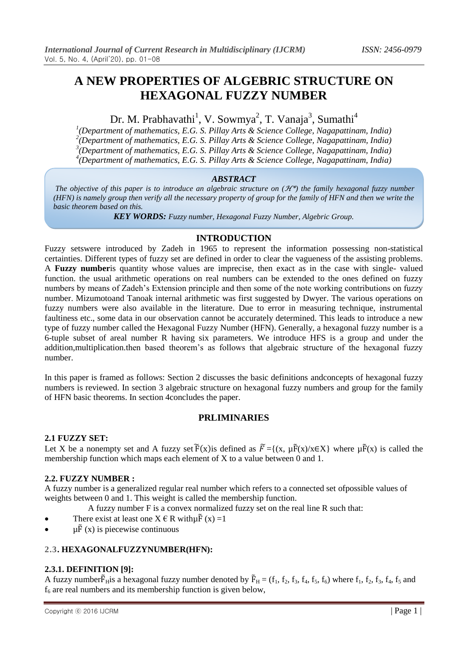# **A NEW PROPERTIES OF ALGEBRIC STRUCTURE ON HEXAGONAL FUZZY NUMBER**

# Dr. M. Prabhavathi<sup>1</sup>, V. Sowmya<sup>2</sup>, T. Vanaja<sup>3</sup>, Sumathi<sup>4</sup>

 *(Department of mathematics, E.G. S. Pillay Arts & Science College, Nagapattinam, India) (Department of mathematics, E.G. S. Pillay Arts & Science College, Nagapattinam, India) (Department of mathematics, E.G. S. Pillay Arts & Science College, Nagapattinam, India) (Department of mathematics, E.G. S. Pillay Arts & Science College, Nagapattinam, India)*

#### *ABSTRACT*

*The objective of this paper is to introduce an algebraic structure on (*ℋ\**) the family hexagonal fuzzy number (HFN) is namely group then verify all the necessary property of group for the family of HFN and then we write the basic theorem based on this.*

*KEY WORDS: Fuzzy number, Hexagonal Fuzzy Number, Algebric Group.*

## **INTRODUCTION**

Fuzzy setswere introduced by Zadeh in 1965 to represent the information possessing non-statistical certainties. Different types of fuzzy set are defined in order to clear the vagueness of the assisting problems. A **Fuzzy number**is quantity whose values are imprecise, then exact as in the case with single- valued function. the usual arithmetic operations on real numbers can be extended to the ones defined on fuzzy numbers by means of Zadeh's Extension principle and then some of the note working contributions on fuzzy number. Mizumotoand Tanoak internal arithmetic was first suggested by Dwyer. The various operations on fuzzy numbers were also available in the literature. Due to error in measuring technique, instrumental faultiness etc., some data in our observation cannot be accurately determined. This leads to introduce a new type of fuzzy number called the Hexagonal Fuzzy Number (HFN). Generally, a hexagonal fuzzy number is a 6-tuple subset of areal number R having six parameters. We introduce HFS is a group and under the addition,multiplication.then based theorem's as follows that algebraic structure of the hexagonal fuzzy number.

In this paper is framed as follows: Section 2 discusses the basic definitions andconcepts of hexagonal fuzzy numbers is reviewed. In section 3 algebraic structure on hexagonal fuzzy numbers and group for the family of HFN basic theorems. In section 4concludes the paper.

## **PRLIMINARIES**

#### **2.1 FUZZY SET:**

Let X be a nonempty set and A fuzzy set  $\tilde{F}(x)$  is defined as  $\tilde{F} = \{(x, \mu \tilde{F}(x)) | x \in X\}$  where  $\mu \tilde{F}(x)$  is called the membership function which maps each element of X to a value between 0 and 1.

### **2.2. FUZZY NUMBER :**

A fuzzy number is a generalized regular real number which refers to a connected set ofpossible values of weights between 0 and 1. This weight is called the membership function.

- A fuzzy number F is a convex normalized fuzzy set on the real line R such that:
- There exist at least one  $X \in R$  with  $\mu \tilde{F}(x) = 1$
- $\mu \tilde{F}(x)$  is piecewise continuous

### **2.3. HEXAGONALFUZZYNUMBER(HFN):**

### **2.3.1. DEFINITION [9]:**

A fuzzy number $\tilde{F}_{H}$  is a hexagonal fuzzy number denoted by  $\tilde{F}_{H} = (f_1, f_2, f_3, f_4, f_5, f_6)$  where  $f_1, f_2, f_3, f_4, f_5$  and  $f<sub>6</sub>$  are real numbers and its membership function is given below,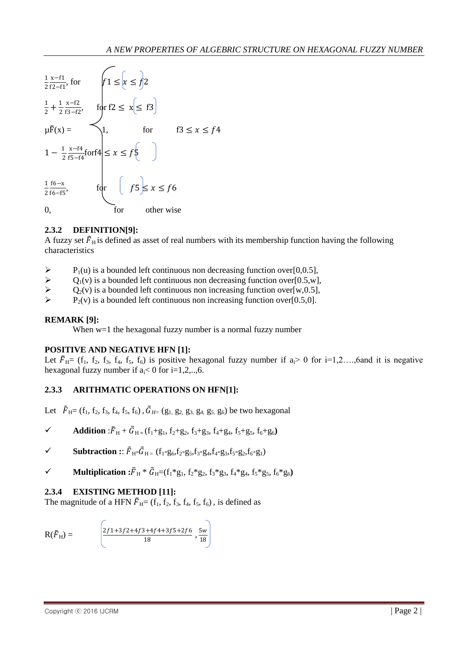

### **2.3.2 DEFINITION[9]:**

A fuzzy set  $\tilde{F}_{\rm H}$  is defined as asset of real numbers with its membership function having the following characteristics

- P<sub>1</sub>(u) is a bounded left continuous non decreasing function over[0,0.5],<br>  $\triangleright$  O<sub>1</sub>(v) is a bounded left continuous non decreasing function over[0,5,w]
- $Q_1(v)$  is a bounded left continuous non decreasing function over[0.5,w],<br>  $Q_2(v)$  is a bounded left continuous non increasing function over[w.0.5].
- $\triangleright$   $Q_2(v)$  is a bounded left continuous non increasing function over[w,0.5],<br> $\triangleright$   $P_2(v)$  is a bounded left continuous non increasing function over[0.5.0]
- $P<sub>2</sub>(v)$  is a bounded left continuous non increasing function over [0.5,0].

#### **REMARK [9]:**

When w=1 the hexagonal fuzzy number is a normal fuzzy number

#### **POSITIVE AND NEGATIVE HFN [1]:**

Let  $\tilde{F}_{H}=(f_1, f_2, f_3, f_4, f_5, f_6)$  is positive hexagonal fuzzy number if  $a>0$  for  $i=1,2,...,6$  and it is negative hexagonal fuzzy number if  $a_i < 0$  for  $i=1,2,..,6$ .

## **2.3.3 ARITHMATIC OPERATIONS ON HFN[1]:**

Let  $\tilde{F}_{\text{H}} = (f_1, f_2, f_3, f_4, f_5, f_6)$ ,  $\tilde{G}_{\text{H}} = (g_1, g_2, g_3, g_4, g_5, g_6)$  be two hexagonal

- $\checkmark$  **Addition** : $\tilde{F}_{\text{H}} + \tilde{G}_{\text{H}} = (f_1 + g_1, f_2 + g_2, f_3 + g_3, f_4 + g_4, f_5 + g_5, f_6 + g_6)$
- $\checkmark$  Subtraction ::  $\tilde{F}_{H^-} \tilde{G}_{H^-} (f_1 g_6, f_2 g_5, f_3 g_4, f_4 g_3, f_5 g_2, f_6 g_1)$
- $\checkmark$  **Multiplication :**  $\tilde{F}_{\rm H} * \tilde{G}_{\rm H} = (f_1 * g_1, f_2 * g_2, f_3 * g_3, f_4 * g_4, f_5 * g_5, f_6 * g_6)$

#### **2.3.4 EXISTING METHOD [11]:**

The magnitude of a HFN  $\tilde{F}_{\text{H}} = (f_1, f_2, f_3, f_4, f_5, f_6)$ , is defined as

$$
R(\tilde{F}_{H}) = \begin{bmatrix} \frac{2f1+3f2+4f3+4f4+3f5+2f6}{18}, \frac{5w}{18} \end{bmatrix}
$$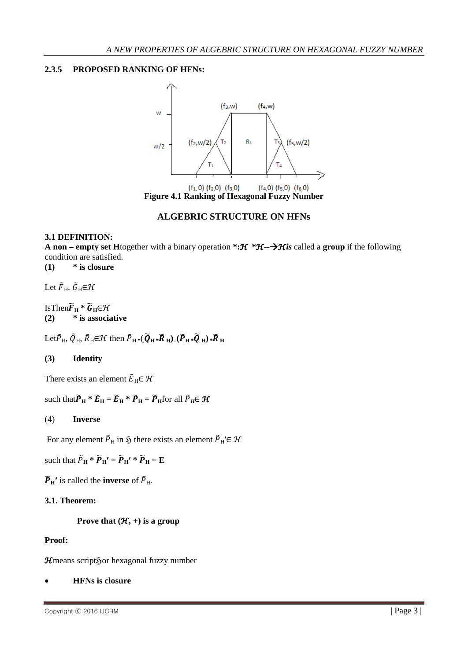## **2.3.5 PROPOSED RANKING OF HFNs:**



## **ALGEBRIC STRUCTURE ON HFNs**

### **3.1 DEFINITION:**

**A non – empty set H**together with a binary operation **\*:**ℋ **\***ℋ**--**ℋ*is* called a **group** if the following condition are satisfied.

**(1) \* is closure**

Let  $\tilde{F}_{\rm H}$ ,  $\tilde{G}_{\rm H} \in \mathcal{H}$ 

 $IsThen \widetilde{F}_H * \widetilde{G}_H \in \mathcal{H}$ **(2) \* is associative**

 $\text{Let } \widetilde{P}_{H}, \widetilde{Q}_{H}, \widetilde{R}_{H} \in \mathcal{H} \text{ then } \widetilde{P}_{H} *(\widetilde{Q}_{H} * \widetilde{R}_{H}) = (\widetilde{P}_{H} * \widetilde{Q}_{H}) * \widetilde{R}_{H}$ 

### **(3) Identity**

There exists an element  $\tilde{E}_{\text{H}} \in \mathcal{H}$ 

such that  $\widetilde{P}_{\text{H}}$  \*  $\widetilde{E}_{\text{H}} = \widetilde{E}_{\text{H}}$  \*  $\widetilde{P}_{\text{H}} = \widetilde{P}_{\text{H}}$  for all  $\widetilde{P}_{\text{H}} \in \mathcal{H}$ 

### (4) **Inverse**

For any element  $\tilde{P}_{H}$  in  $\tilde{S}$  there exists an element  $\tilde{P}_{H}$ '∈  $\mathcal{H}$ 

such that  $\tilde{P}_{\text{H}} * \tilde{P}_{\text{H}}' = \tilde{P}_{\text{H}}' * \tilde{P}_{\text{H}} = \mathbf{E}$ 

 $\widetilde{P}_{\text{H}}$ <sup>*'*</sup> is called the **inverse** of  $\widetilde{P}_{\text{H}}$ *.* 

### **3.1. Theorem:**

 **Prove that**  $(H, +)$  **is a group** 

#### **Proof:**

ℋmeans scriptℌor hexagonal fuzzy number

**HFNs is closure**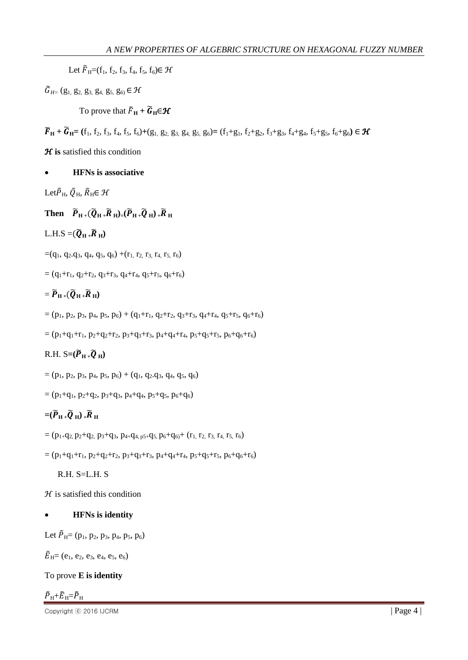Let  $\tilde{F}_{H}=(f_1, f_2, f_3, f_4, f_5, f_6) \in \mathcal{H}$ 

 $\tilde{G}_{H}$  (g<sub>1</sub>, g<sub>2</sub>, g<sub>3</sub>, g<sub>4</sub>, g<sub>5</sub>, g<sub>6</sub>)  $\in \mathcal{H}$ 

To prove that  $\tilde{F}_{\text{H}} + \tilde{G}_{\text{H}} \in \mathcal{H}$ 

 $\widetilde{F}_{\rm H}$  **+**  $\widetilde{G}_{\rm H}$  = (f<sub>1</sub>, f<sub>2</sub>, f<sub>3</sub>, f<sub>4</sub>, f<sub>5</sub>, f<sub>6</sub>)+(g<sub>1</sub>, g<sub>2</sub>, g<sub>3</sub>, g<sub>4</sub>, g<sub>5</sub>, g<sub>6</sub>) = (f<sub>1</sub>+g<sub>1</sub>, f<sub>2</sub>+g<sub>2</sub>, f<sub>3</sub>+g<sub>3</sub>, f<sub>4</sub>+g<sub>4</sub>, f<sub>5</sub>+g<sub>5</sub>, f<sub>6</sub>+g<sub>6</sub>)  $\in \mathcal{H}$ 

*H* is satisfied this condition

**HFNs is associative**

Let  $\tilde{P}_{\rm H}$ ,  $\tilde{Q}_{\rm H}$ ,  $\tilde{R}_{\rm H} \in \mathcal{H}$ 

**Then**  $\widetilde{P}_{H+}(\widetilde{Q}_{H+}\widetilde{R}_{H}) = (\widetilde{P}_{H+}\widetilde{Q}_{H}) + \widetilde{R}_{H}$ 

 $L.H.S = (\widetilde{Q}_{H+} \widetilde{R}_{H})$ 

 $=(q_1, q_2, q_3, q_4, q_5, q_6) + (r_1, r_2, r_3, r_4, r_5, r_6)$ 

 $= (q_1 + r_1, q_2 + r_2, q_3 + r_3, q_4 + r_4, q_5 + r_5, q_6 + r_6)$ 

 $= \widetilde{P}_{\mathrm{H}+}(\widetilde{Q}_{\mathrm{H}+}\widetilde{R}_{\mathrm{H}})$ 

 $= (p_1, p_2, p_3, p_4, p_5, p_6) + (q_1+r_1, q_2+r_2, q_3+r_3, q_4+r_4, q_5+r_5, q_6+r_6)$ 

 $= (p_1+q_1+r_1, p_2+q_2+r_2, p_3+q_3+r_3, p_4+q_4+r_4, p_5+q_5+r_5, p_6+q_6+r_6)$ 

 $R.H. S=(\widetilde{P}_{H}^{\prime}+\widetilde{Q}_{H})$ 

 $= (p_1, p_2, p_3, p_4, p_5, p_6) + (q_1, q_2, q_3, q_4, q_5, q_6)$ 

 $= (p_1+q_1, p_2+q_2, p_3+q_3, p_4+q_4, p_5+q_5, p_6+q_6)$ 

# $=(\widetilde{P}_{H}+\widetilde{Q}_{H})+\widetilde{R}_{H}$

 $= (p_{1+}q_{2}, p_{2}+q_{2}, p_{3}+q_{3}, p_{4+}q_{4, p5+}q_{5}, p_{6}+q_{6}+ (r_{1}, r_{2}, r_{3}, r_{4}, r_{5}, r_{6})$ 

 $= (p_1+q_1+r_1, p_2+q_2+r_2, p_3+q_3+r_3, p_4+q_4+r_4, p_5+q_5+r_5, p_6+q_6+r_6)$ 

R.H. S=L.H. S

 $H$  is satisfied this condition

## **HFNs is identity**

Let  $\tilde{P}_{\text{H}}=(p_1, p_2, p_3, p_4, p_5, p_6)$ 

 $\widetilde{E}_{\mathrm{H}}=(e_1, e_2, e_3, e_4, e_5, e_6)$ 

To prove **E is identity**

$$
\tilde{P}_\mathrm{H} {+} \tilde{E}_\mathrm{H} {=} \tilde{P}_\mathrm{H}
$$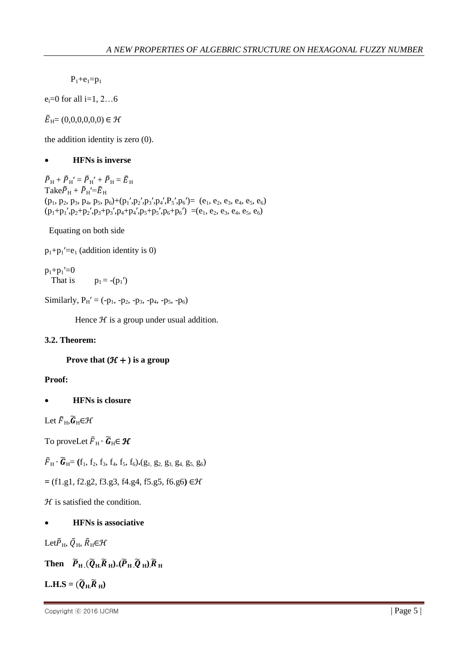$P_1 + e_1 = p_1$ 

 $e_i = 0$  for all  $i = 1, 2...6$ 

 $\widetilde{E}_{\rm H}=(0,0,0,0,0,0) \in \mathcal{H}$ 

the addition identity is zero (0).

## **HFNs is inverse**

 $\tilde{P}_\mathrm{H} + \tilde{P}_\mathrm{H}{}' = \tilde{P}_\mathrm{H}' + \tilde{P}_\mathrm{H} = \tilde{E}_\mathrm{H}$ Take  $\tilde{P}_{\rm H} + \tilde{P}_{\rm H}' = \tilde{E}_{\rm H}$  $(p_1, p_2, p_3, p_4, p_5, p_6) + (p_1', p_2', p_3', p_4', P_5', p_6') = (e_1, e_2, e_3, e_4, e_5, e_6)$  $(p_1+p_1',p_2+p_2',p_3+p_3',p_4+p_4',p_5+p_5',p_6+p_6') = (e_1, e_2, e_3, e_4, e_5, e_6)$ 

Equating on both side

 $p_1+p_1'=e_1$  (addition identity is 0)

 $p_1+p_1'=0$ That is  $p_1 = -(p_1')$ 

Similarly,  $P_H' = (-p_1, -p_2, -p_3, -p_4, -p_5, -p_6)$ 

Hence  $H$  is a group under usual addition.

## **3.2. Theorem:**

**Prove that**  $(\mathcal{H} + )$  **is a group** 

### **Proof:**

**HFNs is closure**

Let  $\widetilde{F}_{\rm H}$ ,  $\widetilde{G}_{\rm H} \in \mathcal{H}$ 

To proveLet  $\tilde{F}_{\rm H} \cdot \tilde{G}_{\rm H} \in \mathcal{H}$ 

 $\tilde{F}_{\rm H}\cdot\tilde{\bm{G}}_{\rm H}=(f_1, f_2, f_3, f_4, f_5, f_6)$ . (g<sub>1</sub>, g<sub>2</sub>, g<sub>3</sub>, g<sub>4</sub>, g<sub>5</sub>, g<sub>6</sub>)

**=** (f1.g1, f2.g2, f3.g3, f4.g4, f5.g5, f6.g6**)** ∈ℋ

 $H$  is satisfied the condition.

## **HFNs is associative**

Let  $\tilde{P}_{\rm H}$ ,  $\tilde{Q}_{\rm H}$ ,  $\tilde{R}_{\rm H}$  $\in$   $\mathcal{H}$ 

**Then**  $\widetilde{P}_{\text{H}}$   $(\widetilde{Q}_{\text{H}}\widetilde{R}_{\text{H}}) = (\widetilde{P}_{\text{H}}\widetilde{Q}_{\text{H}})\widetilde{R}_{\text{H}}$ 

 $L.H.S = (\widetilde{Q}_{H.} \widetilde{R}_{H})$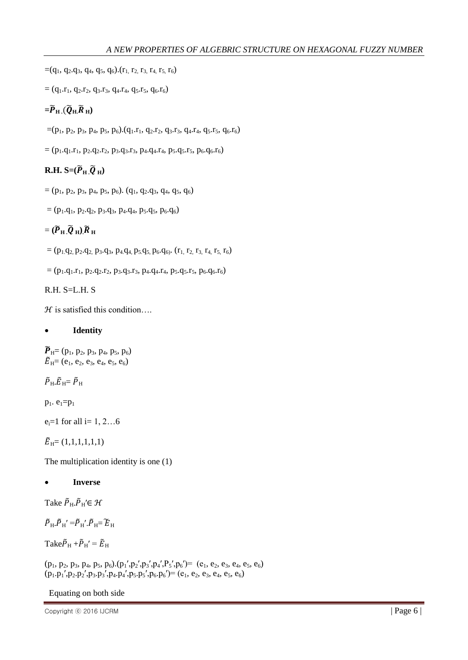$=(q_1, q_2, q_3, q_4, q_5, q_6)$ .  $(r_1, r_2, r_3, r_4, r_5, r_6)$ 

 $=(q_1.r_1, q_2.r_2, q_3.r_3, q_4.r_4, q_5.r_5, q_6.r_6)$ 

# $=\widetilde{P}_{\mathrm{H}}$  .( $\widetilde{Q}_{\mathrm{H}}$ , $\widetilde{R}_{\mathrm{H}}$ )

 $=(p_1, p_2, p_3, p_4, p_5, p_6).(q_1.r_1, q_2.r_2, q_3.r_3, q_4.r_4, q_5.r_5, q_6.r_6)$ 

 $= (p_1.q_1.r_1, p_2.q_2.r_2, p_3.q_3.r_3, p_4.q_4.r_4, p_5.q_5.r_5, p_6.q_6.r_6)$ 

# $R.H. S=(\widetilde{P}_H \widetilde{Q}_H)$

 $= (p_1, p_2, p_3, p_4, p_5, p_6). (q_1, q_2, q_3, q_4, q_5, q_6)$ 

 $= (p_1.q_1, p_2.q_2, p_3.q_3, p_4.q_4, p_5.q_5, p_6.q_6)$ 

# $= (\widetilde{P}_{\mathrm{H}} \cdot \widetilde{Q}_{\mathrm{H}}) \widetilde{R}_{\mathrm{H}}$

 $= (p_1q_2, p_2. q_2, p_3. q_3, p_4. q_4, p_5. q_5, p_6. q_6)$ .  $(r_1, r_2, r_3, r_4, r_5, r_6)$ 

 $= (p_1.q_1.r_1, p_2.q_2.r_2, p_3.q_3.r_3, p_4.q_4.r_4, p_5.q_5.r_5, p_6.q_6.r_6)$ 

 $R.H. S=L.H. S$ 

 $H$  is satisfied this condition...

## **Identity**

 $\widetilde{P}_{\mathrm{H}}=(p_1, p_2, p_3, p_4, p_5, p_6)$  $\widetilde{E}_{\text{H}}=(e_1, e_2, e_3, e_4, e_5, e_6)$ 

 $\widetilde{P}_{\mathrm{H}}\cdotp\widetilde{E}_{\mathrm{H}}=\widetilde{P}_{\mathrm{H}}$ 

 $p_1. e_1=p_1$ 

 $e_i = 1$  for all  $i = 1, 2...6$ 

 $\tilde{E}_{\rm H}=(1,1,1,1,1,1)$ 

The multiplication identity is one (1)

## **Inverse**

Take  $\tilde{P}_{\rm H}$ .  $\tilde{P}_{\rm H}$ ' $\in \mathcal{H}$ 

 $\tilde{P}_{H}$ .  $\tilde{P}_{H}$ ' = $\tilde{P}_{H}$ '.  $\tilde{P}_{H}$  =  $\tilde{E}_{H}$ 

Take  $\tilde{P}_{\rm H} + \tilde{P}_{\rm H}' = \tilde{E}_{\rm H}$ 

 $(p_1, p_2, p_3, p_4, p_5, p_6)$ . $(p_1', p_2', p_3', p_4', P_5', p_6') = (e_1, e_2, e_3, e_4, e_5, e_6)$  $(p_1.p_1', p_2.p_2', p_3.p_3', p_4.p_4', p_5.p_5', p_6.p_6') = (e_1, e_2, e_3, e_4, e_5, e_6)$ 

Equating on both side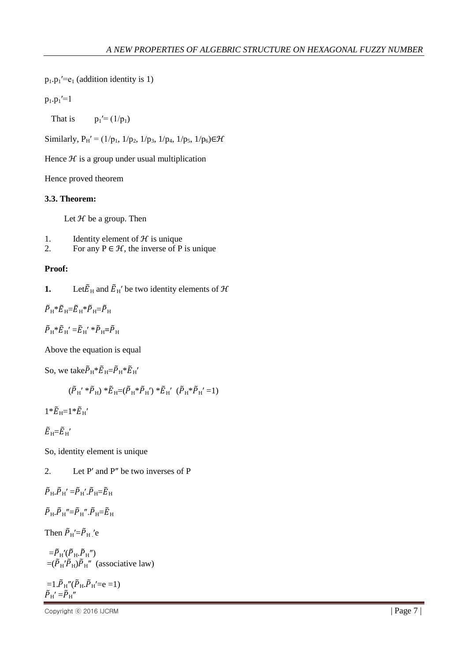$p_1 \cdot p_1' = e_1$  (addition identity is 1)

 $p_1.p_1' = 1$ 

That is  $p_1'=(1/p_1)$ 

Similarly,  $P_H' = (1/p_1, 1/p_2, 1/p_3, 1/p_4, 1/p_5, 1/p_6) \in \mathcal{H}$ 

Hence  $H$  is a group under usual multiplication

Hence proved theorem

#### **3.3. Theorem:**

Let  $H$  be a group. Then

- 1. Identity element of  $H$  is unique
- 2. For any  $P \in \mathcal{H}$ , the inverse of P is unique

#### **Proof:**

**1.** Let  $\tilde{E}_{\text{H}}$  and  $\tilde{E}_{\text{H}}$ ' be two identity elements of  $\mathcal{H}$ 

 $\tilde{P}_{\rm H} * \tilde{E}_{\rm H} = \tilde{E}_{\rm H} * \tilde{P}_{\rm H} = \tilde{P}_{\rm H}$ 

$$
\tilde{P}_\mathrm{H} {^*} \tilde{E}_\mathrm{H}{'} {=} \tilde{E}_\mathrm{H}{'} {^*} \tilde{P}_\mathrm{H} {=} \tilde{P}_\mathrm{H}
$$

Above the equation is equal

So, we take  $\tilde{P}_{\text{H}} * \tilde{E}_{\text{H}} = \tilde{P}_{\text{H}} * \tilde{E}_{\text{H}}'$ 

$$
(\tilde{P}_{H}^{'*}\tilde{P}_{H}) * \tilde{E}_{H} = (\tilde{P}_{H} * \tilde{P}_{H}') * \tilde{E}_{H}' (\tilde{P}_{H} * \tilde{P}_{H}' = 1)
$$

 $1*E_{\text{H}}=1*E_{\text{H}}'$ 

$$
\tilde{E}_{\,\rm H}\!\!=\!\!\tilde{E}_{\,\rm H}{}'
$$

So, identity element is unique

2. Let P′ and P″ be two inverses of P

$$
\tilde{P}_\mathrm{H}.\tilde{P}_\mathrm{H}{}'=\tilde{P}_\mathrm{H}{}',\tilde{P}_\mathrm{H}=\tilde{E}_\mathrm{H}
$$

 $\tilde{P}_{H}$ .  $\tilde{P}_{H}$ "= $\tilde{P}_{H}$ ".  $\tilde{P}_{H}=\tilde{E}_{H}$ 

Then  $\tilde{P}_{\rm H}$ '= $\tilde{P}_{\rm H}$  'e

 $=\!\tilde{P}_{\rm H}'(\tilde{P}_{\rm H}\!\boldsymbol{.}\tilde{P}_{\rm H}^{\phantom{\dagger}}\boldsymbol{.})$  $=(\tilde{P}_{H}^{\prime}\tilde{P}_{H}^{\prime})\tilde{P}_{H}^{\prime\prime}$  (associative law)

=1.
$$
\tilde{P}_{H}''(\tilde{P}_{H}.\tilde{P}_{H}'=e=1)
$$
  
 $\tilde{P}_{H}'=\tilde{P}_{H}''$ 

 $\Box$  Copyright  $\odot$  2016 IJCRM  $\Box$  Page 7 |